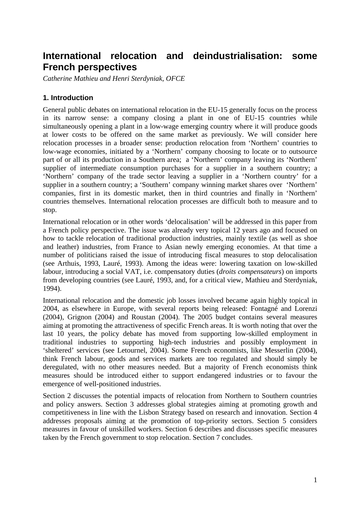# **International relocation and deindustrialisation: some French perspectives**

*Catherine Mathieu and Henri Sterdyniak, OFCE* 

## **1. Introduction**

General public debates on international relocation in the EU-15 generally focus on the process in its narrow sense: a company closing a plant in one of EU-15 countries while simultaneously opening a plant in a low-wage emerging country where it will produce goods at lower costs to be offered on the same market as previously. We will consider here relocation processes in a broader sense: production relocation from 'Northern' countries to low-wage economies, initiated by a 'Northern' company choosing to locate or to outsource part of or all its production in a Southern area; a 'Northern' company leaving its 'Northern' supplier of intermediate consumption purchases for a supplier in a southern country; a 'Northern' company of the trade sector leaving a supplier in a 'Northern country' for a supplier in a southern country; a 'Southern' company winning market shares over 'Northern' companies, first in its domestic market, then in third countries and finally in 'Northern' countries themselves. International relocation processes are difficult both to measure and to stop.

International relocation or in other words 'delocalisation' will be addressed in this paper from a French policy perspective. The issue was already very topical 12 years ago and focused on how to tackle relocation of traditional production industries, mainly textile (as well as shoe and leather) industries, from France to Asian newly emerging economies. At that time a number of politicians raised the issue of introducing fiscal measures to stop delocalisation (see Arthuis, 1993, Lauré, 1993). Among the ideas were: lowering taxation on low-skilled labour, introducing a social VAT, i.e. compensatory duties (*droits compensateurs*) on imports from developing countries (see Lauré, 1993, and, for a critical view, Mathieu and Sterdyniak, 1994).

International relocation and the domestic job losses involved became again highly topical in 2004, as elsewhere in Europe, with several reports being released: Fontagné and Lorenzi (2004), Grignon (2004) and Roustan (2004). The 2005 budget contains several measures aiming at promoting the attractiveness of specific French areas. It is worth noting that over the last 10 years, the policy debate has moved from supporting low-skilled employment in traditional industries to supporting high-tech industries and possibly employment in 'sheltered' services (see Letournel, 2004). Some French economists, like Messerlin (2004), think French labour, goods and services markets are too regulated and should simply be deregulated, with no other measures needed. But a majority of French economists think measures should be introduced either to support endangered industries or to favour the emergence of well-positioned industries.

Section 2 discusses the potential impacts of relocation from Northern to Southern countries and policy answers. Section 3 addresses global strategies aiming at promoting growth and competitiveness in line with the Lisbon Strategy based on research and innovation. Section 4 addresses proposals aiming at the promotion of top-priority sectors. Section 5 considers measures in favour of unskilled workers. Section 6 describes and discusses specific measures taken by the French government to stop relocation. Section 7 concludes.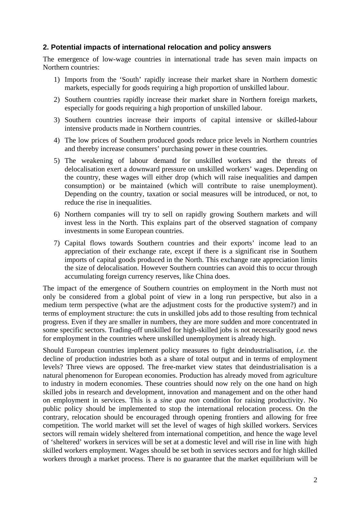#### **2. Potential impacts of international relocation and policy answers**

The emergence of low-wage countries in international trade has seven main impacts on Northern countries:

- 1) Imports from the 'South' rapidly increase their market share in Northern domestic markets, especially for goods requiring a high proportion of unskilled labour.
- 2) Southern countries rapidly increase their market share in Northern foreign markets, especially for goods requiring a high proportion of unskilled labour.
- 3) Southern countries increase their imports of capital intensive or skilled-labour intensive products made in Northern countries.
- 4) The low prices of Southern produced goods reduce price levels in Northern countries and thereby increase consumers' purchasing power in these countries.
- 5) The weakening of labour demand for unskilled workers and the threats of delocalisation exert a downward pressure on unskilled workers' wages. Depending on the country, these wages will either drop (which will raise inequalities and dampen consumption) or be maintained (which will contribute to raise unemployment). Depending on the country, taxation or social measures will be introduced, or not, to reduce the rise in inequalities.
- 6) Northern companies will try to sell on rapidly growing Southern markets and will invest less in the North. This explains part of the observed stagnation of company investments in some European countries.
- 7) Capital flows towards Southern countries and their exports' income lead to an appreciation of their exchange rate, except if there is a significant rise in Southern imports of capital goods produced in the North. This exchange rate appreciation limits the size of delocalisation. However Southern countries can avoid this to occur through accumulating foreign currency reserves, like China does.

The impact of the emergence of Southern countries on employment in the North must not only be considered from a global point of view in a long run perspective, but also in a medium term perspective (what are the adjustment costs for the productive system?) and in terms of employment structure: the cuts in unskilled jobs add to those resulting from technical progress. Even if they are smaller in numbers, they are more sudden and more concentrated in some specific sectors. Trading-off unskilled for high-skilled jobs is not necessarily good news for employment in the countries where unskilled unemployment is already high.

Should European countries implement policy measures to fight deindustrialisation, *i.e.* the decline of production industries both as a share of total output and in terms of employment levels? Three views are opposed. The free-market view states that deindustrialisation is a natural phenomenon for European economies. Production has already moved from agriculture to industry in modern economies. These countries should now rely on the one hand on high skilled jobs in research and development, innovation and management and on the other hand on employment in services. This is a *sine qua non* condition for raising productivity. No public policy should be implemented to stop the international relocation process. On the contrary, relocation should be encouraged through opening frontiers and allowing for free competition. The world market will set the level of wages of high skilled workers. Services sectors will remain widely sheltered from international competition, and hence the wage level of 'sheltered' workers in services will be set at a domestic level and will rise in line with high skilled workers employment. Wages should be set both in services sectors and for high skilled workers through a market process. There is no guarantee that the market equilibrium will be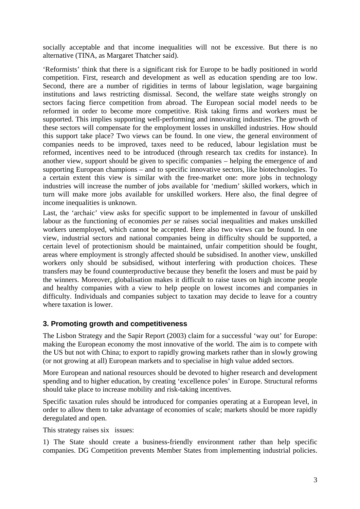socially acceptable and that income inequalities will not be excessive. But there is no alternative (TINA, as Margaret Thatcher said).

'Reformists' think that there is a significant risk for Europe to be badly positioned in world competition. First, research and development as well as education spending are too low. Second, there are a number of rigidities in terms of labour legislation, wage bargaining institutions and laws restricting dismissal. Second, the welfare state weighs strongly on sectors facing fierce competition from abroad. The European social model needs to be reformed in order to become more competitive. Risk taking firms and workers must be supported. This implies supporting well-performing and innovating industries. The growth of these sectors will compensate for the employment losses in unskilled industries. How should this support take place? Two views can be found. In one view, the general environment of companies needs to be improved, taxes need to be reduced, labour legislation must be reformed, incentives need to be introduced (through research tax credits for instance). In another view, support should be given to specific companies – helping the emergence of and supporting European champions – and to specific innovative sectors, like biotechnologies. To a certain extent this view is similar with the free-market one: more jobs in technology industries will increase the number of jobs available for 'medium' skilled workers, which in turn will make more jobs available for unskilled workers. Here also, the final degree of income inequalities is unknown.

Last, the 'archaic' view asks for specific support to be implemented in favour of unskilled labour as the functioning of economies *per se* raises social inequalities and makes unskilled workers unemployed, which cannot be accepted. Here also two views can be found. In one view, industrial sectors and national companies being in difficulty should be supported, a certain level of protectionism should be maintained, unfair competition should be fought, areas where employment is strongly affected should be subsidised. In another view, unskilled workers only should be subsidised, without interfering with production choices. These transfers may be found counterproductive because they benefit the losers and must be paid by the winners. Moreover, globalisation makes it difficult to raise taxes on high income people and healthy companies with a view to help people on lowest incomes and companies in difficulty. Individuals and companies subject to taxation may decide to leave for a country where taxation is lower.

#### **3. Promoting growth and competitiveness**

The Lisbon Strategy and the Sapir Report (2003) claim for a successful 'way out' for Europe: making the European economy the most innovative of the world. The aim is to compete with the US but not with China; to export to rapidly growing markets rather than in slowly growing (or not growing at all) European markets and to specialise in high value added sectors.

More European and national resources should be devoted to higher research and development spending and to higher education, by creating 'excellence poles' in Europe. Structural reforms should take place to increase mobility and risk-taking incentives.

Specific taxation rules should be introduced for companies operating at a European level, in order to allow them to take advantage of economies of scale; markets should be more rapidly deregulated and open.

This strategy raises six issues:

1) The State should create a business-friendly environment rather than help specific companies. DG Competition prevents Member States from implementing industrial policies.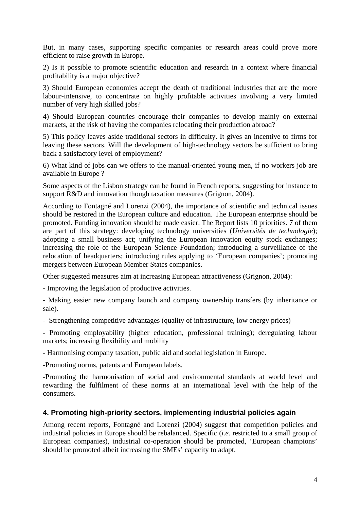But, in many cases, supporting specific companies or research areas could prove more efficient to raise growth in Europe.

2) Is it possible to promote scientific education and research in a context where financial profitability is a major objective?

3) Should European economies accept the death of traditional industries that are the more labour-intensive, to concentrate on highly profitable activities involving a very limited number of very high skilled jobs?

4) Should European countries encourage their companies to develop mainly on external markets, at the risk of having the companies relocating their production abroad?

5) This policy leaves aside traditional sectors in difficulty. It gives an incentive to firms for leaving these sectors. Will the development of high-technology sectors be sufficient to bring back a satisfactory level of employment?

6) What kind of jobs can we offers to the manual-oriented young men, if no workers job are available in Europe ?

Some aspects of the Lisbon strategy can be found in French reports, suggesting for instance to support R&D and innovation though taxation measures (Grignon, 2004).

According to Fontagné and Lorenzi (2004), the importance of scientific and technical issues should be restored in the European culture and education. The European enterprise should be promoted. Funding innovation should be made easier. The Report lists 10 priorities. 7 of them are part of this strategy: developing technology universities (*Universités de technologie*); adopting a small business act; unifying the European innovation equity stock exchanges; increasing the role of the European Science Foundation; introducing a surveillance of the relocation of headquarters; introducing rules applying to 'European companies'; promoting mergers between European Member States companies.

Other suggested measures aim at increasing European attractiveness (Grignon, 2004):

- Improving the legislation of productive activities.

- Making easier new company launch and company ownership transfers (by inheritance or sale).

- Strengthening competitive advantages (quality of infrastructure, low energy prices)

- Promoting employability (higher education, professional training); deregulating labour markets; increasing flexibility and mobility

- Harmonising company taxation, public aid and social legislation in Europe.

-Promoting norms, patents and European labels.

-Promoting the harmonisation of social and environmental standards at world level and rewarding the fulfilment of these norms at an international level with the help of the consumers.

#### **4. Promoting high-priority sectors, implementing industrial policies again**

Among recent reports, Fontagné and Lorenzi (2004) suggest that competition policies and industrial policies in Europe should be rebalanced. Specific (*i.e.* restricted to a small group of European companies), industrial co-operation should be promoted, 'European champions' should be promoted albeit increasing the SMEs' capacity to adapt.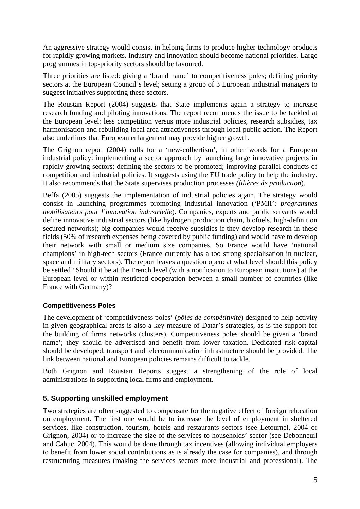An aggressive strategy would consist in helping firms to produce higher-technology products for rapidly growing markets. Industry and innovation should become national priorities. Large programmes in top-priority sectors should be favoured.

Three priorities are listed: giving a 'brand name' to competitiveness poles; defining priority sectors at the European Council's level; setting a group of 3 European industrial managers to suggest initiatives supporting these sectors.

The Roustan Report (2004) suggests that State implements again a strategy to increase research funding and piloting innovations. The report recommends the issue to be tackled at the European level: less competition versus more industrial policies, research subsidies, tax harmonisation and rebuilding local area attractiveness through local public action. The Report also underlines that European enlargement may provide higher growth.

The Grignon report (2004) calls for a 'new-colbertism', in other words for a European industrial policy: implementing a sector approach by launching large innovative projects in rapidly growing sectors; defining the sectors to be promoted; improving parallel conducts of competition and industrial policies. It suggests using the EU trade policy to help the industry. It also recommends that the State supervises production processes *(filières de production*).

Beffa (2005) suggests the implementation of industrial policies again. The strategy would consist in launching programmes promoting industrial innovation ('PMII': *programmes mobilisateurs pour l'innovation industrielle*). Companies, experts and public servants would define innovative industrial sectors (like hydrogen production chain, biofuels, high-definition secured networks); big companies would receive subsidies if they develop research in these fields (50% of research expenses being covered by public funding) and would have to develop their network with small or medium size companies. So France would have 'national champions' in high-tech sectors (France currently has a too strong specialisation in nuclear, space and military sectors). The report leaves a question open: at what level should this policy be settled? Should it be at the French level (with a notification to European institutions) at the European level or within restricted cooperation between a small number of countries (like France with Germany)?

#### **Competitiveness Poles**

The development of 'competitiveness poles' (*pôles de compétitivité*) designed to help activity in given geographical areas is also a key measure of Datar's strategies, as is the support for the building of firms networks (clusters). Competitiveness poles should be given a 'brand name'; they should be advertised and benefit from lower taxation. Dedicated risk-capital should be developed, transport and telecommunication infrastructure should be provided. The link between national and European policies remains difficult to tackle.

Both Grignon and Roustan Reports suggest a strengthening of the role of local administrations in supporting local firms and employment.

#### **5. Supporting unskilled employment**

Two strategies are often suggested to compensate for the negative effect of foreign relocation on employment. The first one would be to increase the level of employment in sheltered services, like construction, tourism, hotels and restaurants sectors (see Letournel, 2004 or Grignon, 2004) or to increase the size of the services to households' sector (see Debonneuil and Cahuc, 2004). This would be done through tax incentives (allowing individual employers to benefit from lower social contributions as is already the case for companies), and through restructuring measures (making the services sectors more industrial and professional). The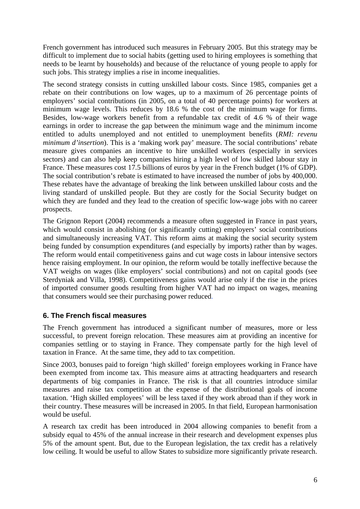French government has introduced such measures in February 2005. But this strategy may be difficult to implement due to social habits (getting used to hiring employees is something that needs to be learnt by households) and because of the reluctance of young people to apply for such jobs. This strategy implies a rise in income inequalities.

The second strategy consists in cutting unskilled labour costs. Since 1985, companies get a rebate on their contributions on low wages, up to a maximum of 26 percentage points of employers' social contributions (in 2005, on a total of 40 percentage points) for workers at minimum wage levels. This reduces by 18.6 % the cost of the minimum wage for firms. Besides, low-wage workers benefit from a refundable tax credit of 4.6 % of their wage earnings in order to increase the gap between the minimum wage and the minimum income entitled to adults unemployed and not entitled to unemployment benefits (*RMI: revenu minimum d'insertion*). This is a 'making work pay' measure. The social contributions' rebate measure gives companies an incentive to hire unskilled workers (especially in services sectors) and can also help keep companies hiring a high level of low skilled labour stay in France. These measures cost 17.5 billions of euros by year in the French budget (1% of GDP). The social contribution's rebate is estimated to have increased the number of jobs by 400,000. These rebates have the advantage of breaking the link between unskilled labour costs and the living standard of unskilled people. But they are costly for the Social Security budget on which they are funded and they lead to the creation of specific low-wage jobs with no career prospects.

The Grignon Report (2004) recommends a measure often suggested in France in past years, which would consist in abolishing (or significantly cutting) employers' social contributions and simultaneously increasing VAT. This reform aims at making the social security system being funded by consumption expenditures (and especially by imports) rather than by wages. The reform would entail competitiveness gains and cut wage costs in labour intensive sectors hence raising employment. In our opinion, the reform would be totally ineffective because the VAT weighs on wages (like employers' social contributions) and not on capital goods (see Sterdyniak and Villa, 1998). Competitiveness gains would arise only if the rise in the prices of imported consumer goods resulting from higher VAT had no impact on wages, meaning that consumers would see their purchasing power reduced.

## **6. The French fiscal measures**

The French government has introduced a significant number of measures, more or less successful, to prevent foreign relocation. These measures aim at providing an incentive for companies settling or to staying in France. They compensate partly for the high level of taxation in France. At the same time, they add to tax competition.

Since 2003, bonuses paid to foreign 'high skilled' foreign employees working in France have been exempted from income tax. This measure aims at attracting headquarters and research departments of big companies in France. The risk is that all countries introduce similar measures and raise tax competition at the expense of the distributional goals of income taxation. 'High skilled employees' will be less taxed if they work abroad than if they work in their country. These measures will be increased in 2005. In that field, European harmonisation would be useful.

A research tax credit has been introduced in 2004 allowing companies to benefit from a subsidy equal to 45% of the annual increase in their research and development expenses plus 5% of the amount spent. But, due to the European legislation, the tax credit has a relatively low ceiling. It would be useful to allow States to subsidize more significantly private research.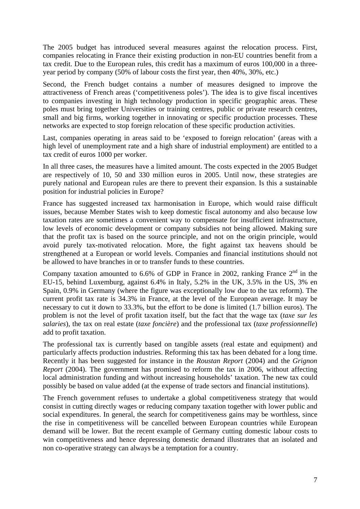The 2005 budget has introduced several measures against the relocation process. First, companies relocating in France their existing production in non-EU countries benefit from a tax credit. Due to the European rules, this credit has a maximum of euros 100,000 in a threeyear period by company (50% of labour costs the first year, then 40%, 30%, etc.)

Second, the French budget contains a number of measures designed to improve the attractiveness of French areas ('competitiveness poles'). The idea is to give fiscal incentives to companies investing in high technology production in specific geographic areas. These poles must bring together Universities or training centres, public or private research centres, small and big firms, working together in innovating or specific production processes. These networks are expected to stop foreign relocation of these specific production activities.

Last, companies operating in areas said to be 'exposed to foreign relocation' (areas with a high level of unemployment rate and a high share of industrial employment) are entitled to a tax credit of euros 1000 per worker.

In all three cases, the measures have a limited amount. The costs expected in the 2005 Budget are respectively of 10, 50 and 330 million euros in 2005. Until now, these strategies are purely national and European rules are there to prevent their expansion. Is this a sustainable position for industrial policies in Europe?

France has suggested increased tax harmonisation in Europe, which would raise difficult issues, because Member States wish to keep domestic fiscal autonomy and also because low taxation rates are sometimes a convenient way to compensate for insufficient infrastructure, low levels of economic development or company subsidies not being allowed. Making sure that the profit tax is based on the source principle, and not on the origin principle, would avoid purely tax-motivated relocation. More, the fight against tax heavens should be strengthened at a European or world levels. Companies and financial institutions should not be allowed to have branches in or to transfer funds to these countries.

Company taxation amounted to 6.6% of GDP in France in 2002, ranking France  $2<sup>nd</sup>$  in the EU-15, behind Luxemburg, against 6.4% in Italy, 5.2% in the UK, 3.5% in the US, 3% en Spain, 0.9% in Germany (where the figure was exceptionally low due to the tax reform). The current profit tax rate is 34.3% in France, at the level of the European average. It may be necessary to cut it down to 33.3%, but the effort to be done is limited (1.7 billion euros). The problem is not the level of profit taxation itself, but the fact that the wage tax (*taxe sur les salaries*), the tax on real estate (*taxe foncière*) and the professional tax (*taxe professionnelle*) add to profit taxation.

The professional tax is currently based on tangible assets (real estate and equipment) and particularly affects production industries. Reforming this tax has been debated for a long time. Recently it has been suggested for instance in the *Roustan Report* (2004) and the *Grignon Report* (2004). The government has promised to reform the tax in 2006, without affecting local administration funding and without increasing households' taxation. The new tax could possibly be based on value added (at the expense of trade sectors and financial institutions).

The French government refuses to undertake a global competitiveness strategy that would consist in cutting directly wages or reducing company taxation together with lower public and social expenditures. In general, the search for competitiveness gains may be worthless, since the rise in competitiveness will be cancelled between European countries while European demand will be lower. But the recent example of Germany cutting domestic labour costs to win competitiveness and hence depressing domestic demand illustrates that an isolated and non co-operative strategy can always be a temptation for a country.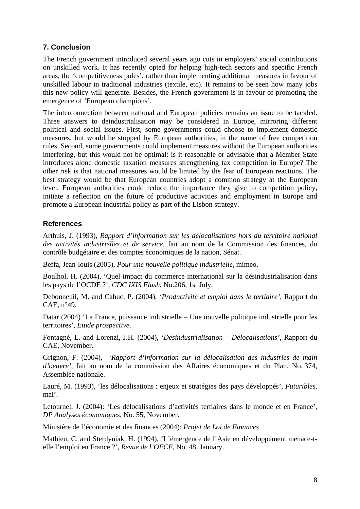## **7. Conclusion**

The French government introduced several years ago cuts in employers' social contributions on unskilled work. It has recently opted for helping high-tech sectors and specific French areas, the 'competitiveness poles', rather than implementing additional measures in favour of unskilled labour in traditional industries (textile, etc). It remains to be seen how many jobs this new policy will generate. Besides, the French government is in favour of promoting the emergence of 'European champions'.

The interconnection between national and European policies remains an issue to be tackled. Three answers to deindustrialisation may be considered in Europe, mirroring different political and social issues. First, some governments could choose to implement domestic measures, but would be stopped by European authorities, in the name of free competition rules. Second, some governments could implement measures without the European authorities interfering, but this would not be optimal: is it reasonable or advisable that a Member State introduces alone domestic taxation measures strengthening tax competition in Europe? The other risk is that national measures would be limited by the fear of European reactions. The best strategy would be that European countries adopt a common strategy at the European level. European authorities could reduce the importance they give to competition policy, initiate a reflection on the future of productive activities and employment in Europe and promote a European industrial policy as part of the Lisbon strategy.

### **References**

Arthuis, J. (1993), *Rapport d'information sur les délocalisations hors du territoire national des activités industrielles et de service*, fait au nom de la Commission des finances, du contrôle budgétaire et des comptes économiques de la nation, Sénat.

Beffa, Jean-louis (2005), *Pour une nouvelle politique industrielle*, mimeo.

Boulhol, H. (2004), 'Quel impact du commerce international sur la désindustrialisation dans les pays de l'OCDE ?', *CDC IXIS Flash*, No.206, 1st July.

Debonneuil, M. and Cahuc, P. (2004), *'Productivité et emploi dans le tertiaire',* Rapport du CAE, n°49.

Datar (2004) 'La France, puissance industrielle – Une nouvelle politique industrielle pour les territoires', *Etude prospective*.

Fontagné, L. and Lorenzi, J.H. (2004), '*Désindustrialisation – Délocalisations'*, Rapport du CAE, November.

Grignon, F. (2004), '*Rapport d'information sur la délocalisation des industries de main d'oeuvre'*, fait au nom de la commission des Affaires économiques et du Plan, No. 374, Assemblée nationale.

Lauré, M. (1993), 'les délocalisations : enjeux et stratégies des pays développés', *Futuribles*, mai'.

Letournel, J. (2004): 'Les délocalisations d'activités tertiaires dans le monde et en France', *DP Analyses économiques*, No. 55, November.

Ministère de l'économie et des finances (2004): *Projet de Loi de Finances* 

Mathieu, C. and Sterdyniak, H. (1994), 'L'émergence de l'Asie en développement menace-telle l'emploi en France ?', *Revue de l'OFCE*, No. 48, January.